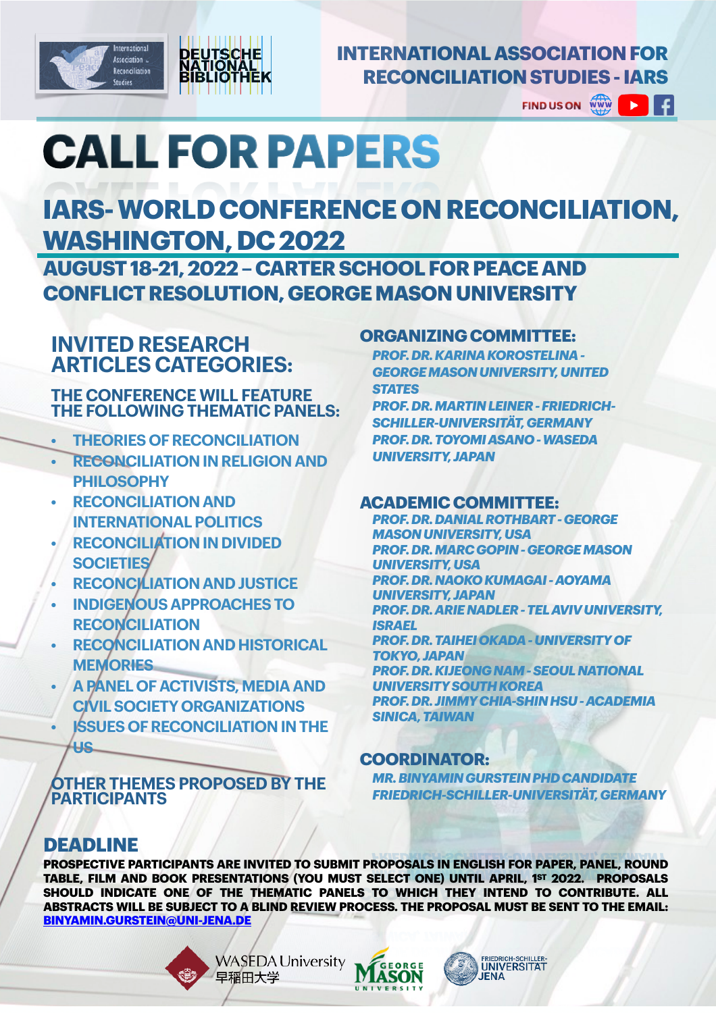



# **INTERNATIONAL ASSOCIATION FOR RECONCILIATION STUDIES - IARS**

**FIND US ON**  $\triangleright$   $\parallel$  f

# **CALLFORPAPERS**

# **IARS- WORLD CONFERENCE ON RECONCILIATION, WASHINGTON, DC 2022**

**AUGUST 18-21, 2022 – CARTER SCHOOL FOR PEACE AND CONFLICT RESOLUTION, GEORGE MASON UNIVERSITY**

# **INVITED RESEARCH ARTICLES CATEGORIES:**

#### **THE CONFERENCE WILL FEATURE THE FOLLOWING THEMATIC PANELS:**

- **• THEORIES OF RECONCILIATION**
- **• RECONCILIATION IN RELIGION AND PHILOSOPHY**
- **• RECONCILIATION AND INTERNATIONAL POLITICS**
- **• RECONCILIATION IN DIVIDED SOCIETIES**
- **• RECONCILIATION AND JUSTICE**
- **• INDIGENOUS APPROACHES TO RECONCILIATION**
- **• RECONCILIATION AND HISTORICAL MEMORIES**
- **• A PANEL OF ACTIVISTS, MEDIA AND CIVIL SOCIETY ORGANIZATIONS**
- **• ISSUES OF RECONCILIATION IN THE US**

#### **OTHER THEMES PROPOSED BY THE PARTICIPANTS**

### **ORGANIZING COMMITTEE:**

*PROF. DR. KARINA KOROSTELINA - GEORGE MASON UNIVERSITY, UNITED STATES*

*PROF. DR. MARTIN LEINER - FRIEDRICH-SCHILLER-UNIVERSITÄT, GERMANY PROF. DR. TOYOMI ASANO - WASEDA UNIVERSITY, JAPAN*

### **ACADEMIC COMMITTEE:**

*PROF. DR. DANIAL ROTHBART - GEORGE MASON UNIVERSITY, USA PROF. DR. MARC GOPIN - GEORGE MASON UNIVERSITY, USA PROF. DR. NAOKO KUMAGAI - AOYAMA UNIVERSITY, JAPAN PROF. DR. ARIE NADLER - TEL AVIV UNIVERSITY, ISRAEL PROF. DR. TAIHEI OKADA - UNIVERSITY OF TOKYO, JAPAN PROF. DR. KIJEONG NAM - SEOUL NATIONAL UNIVERSITY SOUTH KOREA PROF. DR. JIMMY CHIA-SHIN HSU - ACADEMIA SINICA, TAIWAN*

## **COORDINATOR:**

*MR. BINYAMIN GURSTEIN PHD CANDIDATE FRIEDRICH-SCHILLER-UNIVERSITÄT, GERMANY*

# **DEADLINE**

**PROSPECTIVE PARTICIPANTS ARE INVITED TO SUBMIT PROPOSALS IN ENGLISH FOR PAPER, PANEL, ROUND TABLE, FILM AND BOOK PRESENTATIONS (YOU MUST SELECT ONE) UNTIL APRIL, 1ST 2022. PROPOSALS SHOULD INDICATE ONE OF THE THEMATIC PANELS TO WHICH THEY INTEND TO CONTRIBUTE. ALL ABSTRACTS WILL BE SUBJECT TO A BLIND REVIEW PROCESS. THE PROPOSAL MUST BE SENT TO THE EMAIL: [BINYAMIN.GURSTEIN@UNI-JENA.DE](mailto:Binyamin.gurstein@uni-jena.de)**

> **WASEDA University** 早稲田大学